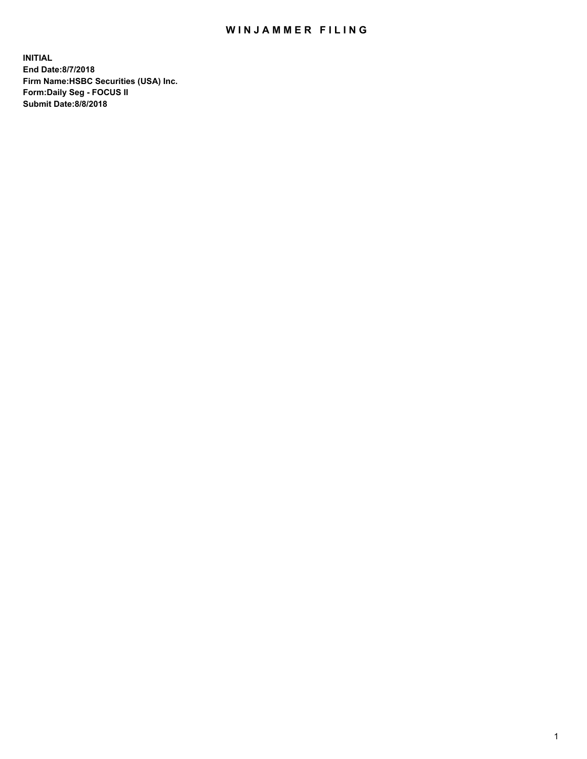## WIN JAMMER FILING

**INITIAL End Date:8/7/2018 Firm Name:HSBC Securities (USA) Inc. Form:Daily Seg - FOCUS II Submit Date:8/8/2018**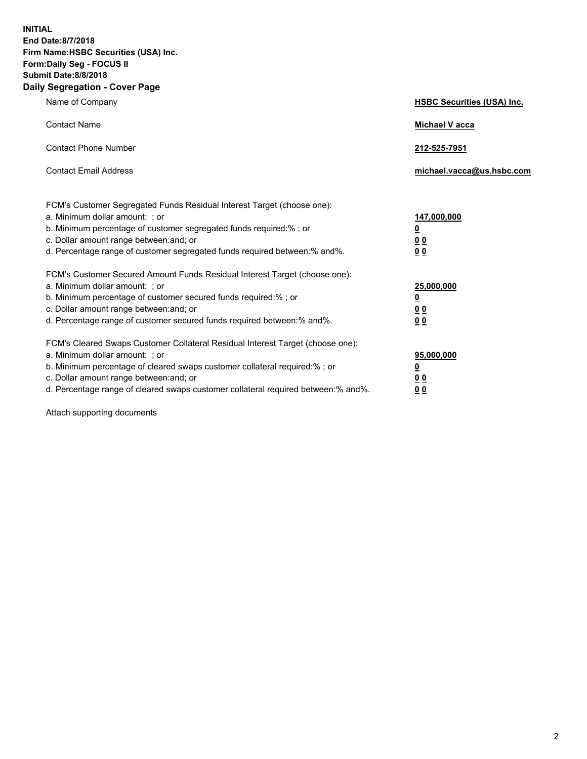**INITIAL End Date:8/7/2018 Firm Name:HSBC Securities (USA) Inc. Form:Daily Seg - FOCUS II Submit Date:8/8/2018 Daily Segregation - Cover Page**

| Name of Company                                                                                                                                                                                                                                                                                                                | <b>HSBC Securities (USA) Inc.</b>                          |
|--------------------------------------------------------------------------------------------------------------------------------------------------------------------------------------------------------------------------------------------------------------------------------------------------------------------------------|------------------------------------------------------------|
| <b>Contact Name</b>                                                                                                                                                                                                                                                                                                            | Michael V acca                                             |
| <b>Contact Phone Number</b>                                                                                                                                                                                                                                                                                                    | 212-525-7951                                               |
| <b>Contact Email Address</b>                                                                                                                                                                                                                                                                                                   | michael.vacca@us.hsbc.com                                  |
| FCM's Customer Segregated Funds Residual Interest Target (choose one):<br>a. Minimum dollar amount: ; or<br>b. Minimum percentage of customer segregated funds required:% ; or<br>c. Dollar amount range between: and; or<br>d. Percentage range of customer segregated funds required between:% and%.                         | 147,000,000<br>₫<br>0 <sub>0</sub><br>0 <sub>0</sub>       |
| FCM's Customer Secured Amount Funds Residual Interest Target (choose one):<br>a. Minimum dollar amount: ; or<br>b. Minimum percentage of customer secured funds required:% ; or<br>c. Dollar amount range between: and; or<br>d. Percentage range of customer secured funds required between: % and %.                         | 25,000,000<br><u>0</u><br>0 <sub>0</sub><br>0 <sub>0</sub> |
| FCM's Cleared Swaps Customer Collateral Residual Interest Target (choose one):<br>a. Minimum dollar amount: ; or<br>b. Minimum percentage of cleared swaps customer collateral required:% ; or<br>c. Dollar amount range between: and; or<br>d. Percentage range of cleared swaps customer collateral required between:% and%. | 95,000,000<br><u>0</u><br><u>00</u><br>00                  |

Attach supporting documents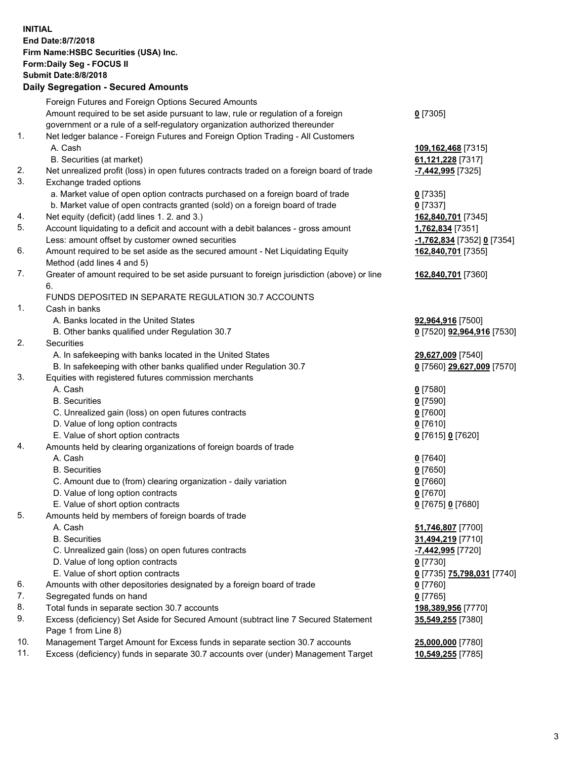**INITIAL End Date:8/7/2018 Firm Name:HSBC Securities (USA) Inc. Form:Daily Seg - FOCUS II Submit Date:8/8/2018 Daily Segregation - Secured Amounts** Foreign Futures and Foreign Options Secured Amounts Amount required to be set aside pursuant to law, rule or regulation of a foreign government or a rule of a self-regulatory organization authorized thereunder **0** [7305] 1. Net ledger balance - Foreign Futures and Foreign Option Trading - All Customers A. Cash **109,162,468** [7315] B. Securities (at market) **61,121,228** [7317] 2. Net unrealized profit (loss) in open futures contracts traded on a foreign board of trade **-7,442,995** [7325] 3. Exchange traded options a. Market value of open option contracts purchased on a foreign board of trade **0** [7335] b. Market value of open contracts granted (sold) on a foreign board of trade **0** [7337] 4. Net equity (deficit) (add lines 1. 2. and 3.) **162,840,701** [7345] 5. Account liquidating to a deficit and account with a debit balances - gross amount **1,762,834** [7351] Less: amount offset by customer owned securities **-1,762,834** [7352] **0** [7354] 6. Amount required to be set aside as the secured amount - Net Liquidating Equity Method (add lines 4 and 5) **162,840,701** [7355] 7. Greater of amount required to be set aside pursuant to foreign jurisdiction (above) or line 6. **162,840,701** [7360] FUNDS DEPOSITED IN SEPARATE REGULATION 30.7 ACCOUNTS 1. Cash in banks A. Banks located in the United States **92,964,916** [7500] B. Other banks qualified under Regulation 30.7 **0** [7520] **92,964,916** [7530] 2. Securities A. In safekeeping with banks located in the United States **29,627,009** [7540] B. In safekeeping with other banks qualified under Regulation 30.7 **0** [7560] **29,627,009** [7570] 3. Equities with registered futures commission merchants A. Cash **0** [7580] B. Securities **0** [7590] C. Unrealized gain (loss) on open futures contracts **0** [7600] D. Value of long option contracts **0** [7610] E. Value of short option contracts **0** [7615] **0** [7620] 4. Amounts held by clearing organizations of foreign boards of trade A. Cash **0** [7640] B. Securities **0** [7650] C. Amount due to (from) clearing organization - daily variation **0** [7660] D. Value of long option contracts **0** [7670] E. Value of short option contracts **0** [7675] **0** [7680] 5. Amounts held by members of foreign boards of trade A. Cash **51,746,807** [7700] B. Securities **31,494,219** [7710] C. Unrealized gain (loss) on open futures contracts **-7,442,995** [7720] D. Value of long option contracts **0** [7730] E. Value of short option contracts **0** [7735] **75,798,031** [7740] 6. Amounts with other depositories designated by a foreign board of trade **0** [7760] 7. Segregated funds on hand **0** [7765] 8. Total funds in separate section 30.7 accounts **198,389,956** [7770] 9. Excess (deficiency) Set Aside for Secured Amount (subtract line 7 Secured Statement Page 1 from Line 8) **35,549,255** [7380] 10. Management Target Amount for Excess funds in separate section 30.7 accounts **25,000,000** [7780] 11. Excess (deficiency) funds in separate 30.7 accounts over (under) Management Target **10,549,255** [7785]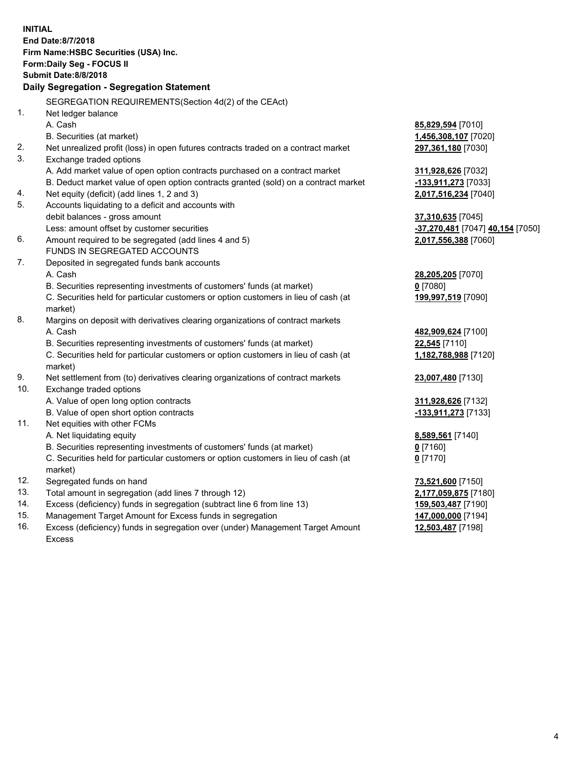|     | <b>INITIAL</b><br>End Date:8/7/2018<br>Firm Name: HSBC Securities (USA) Inc.<br>Form: Daily Seg - FOCUS II<br><b>Submit Date: 8/8/2018</b><br>Daily Segregation - Segregation Statement |                                           |
|-----|-----------------------------------------------------------------------------------------------------------------------------------------------------------------------------------------|-------------------------------------------|
|     | SEGREGATION REQUIREMENTS(Section 4d(2) of the CEAct)                                                                                                                                    |                                           |
| 1.  | Net ledger balance                                                                                                                                                                      |                                           |
|     | A. Cash                                                                                                                                                                                 | 85,829,594 [7010]                         |
| 2.  | B. Securities (at market)                                                                                                                                                               | 1,456,308,107 [7020]                      |
| 3.  | Net unrealized profit (loss) in open futures contracts traded on a contract market<br>Exchange traded options                                                                           | 297,361,180 [7030]                        |
|     | A. Add market value of open option contracts purchased on a contract market                                                                                                             | 311,928,626 [7032]                        |
|     | B. Deduct market value of open option contracts granted (sold) on a contract market                                                                                                     | -133,911,273 [7033]                       |
| 4.  | Net equity (deficit) (add lines 1, 2 and 3)                                                                                                                                             | 2,017,516,234 [7040]                      |
| 5.  | Accounts liquidating to a deficit and accounts with                                                                                                                                     |                                           |
|     | debit balances - gross amount                                                                                                                                                           | 37,310,635 [7045]                         |
|     | Less: amount offset by customer securities                                                                                                                                              | -37,270,481 [7047] 40,154 [7050]          |
| 6.  | Amount required to be segregated (add lines 4 and 5)                                                                                                                                    | 2,017,556,388 [7060]                      |
|     | FUNDS IN SEGREGATED ACCOUNTS                                                                                                                                                            |                                           |
| 7.  | Deposited in segregated funds bank accounts                                                                                                                                             |                                           |
|     | A. Cash                                                                                                                                                                                 | 28,205,205 [7070]                         |
|     | B. Securities representing investments of customers' funds (at market)                                                                                                                  | $0$ [7080]                                |
|     | C. Securities held for particular customers or option customers in lieu of cash (at                                                                                                     | 199,997,519 [7090]                        |
|     | market)                                                                                                                                                                                 |                                           |
| 8.  | Margins on deposit with derivatives clearing organizations of contract markets                                                                                                          |                                           |
|     | A. Cash                                                                                                                                                                                 | 482,909,624 [7100]                        |
|     | B. Securities representing investments of customers' funds (at market)                                                                                                                  | 22,545 [7110]                             |
|     | C. Securities held for particular customers or option customers in lieu of cash (at                                                                                                     | 1,182,788,988 [7120]                      |
|     | market)                                                                                                                                                                                 |                                           |
| 9.  | Net settlement from (to) derivatives clearing organizations of contract markets                                                                                                         | 23,007,480 [7130]                         |
| 10. | Exchange traded options                                                                                                                                                                 |                                           |
|     | A. Value of open long option contracts                                                                                                                                                  | 311,928,626 [7132]                        |
|     | B. Value of open short option contracts                                                                                                                                                 | -133,911,273 [7133]                       |
| 11. | Net equities with other FCMs                                                                                                                                                            |                                           |
|     | A. Net liquidating equity                                                                                                                                                               | 8,589,561 [7140]                          |
|     | B. Securities representing investments of customers' funds (at market)                                                                                                                  | $0$ [7160]                                |
|     | C. Securities held for particular customers or option customers in lieu of cash (at<br>market)                                                                                          | $0$ [7170]                                |
| 12. | Segregated funds on hand                                                                                                                                                                |                                           |
| 13. | Total amount in segregation (add lines 7 through 12)                                                                                                                                    | 73,521,600 [7150]<br>2,177,059,875 [7180] |
| 14. | Excess (deficiency) funds in segregation (subtract line 6 from line 13)                                                                                                                 | 159,503,487 [7190]                        |
| 15. | Management Target Amount for Excess funds in segregation                                                                                                                                | 147,000,000 [7194]                        |
| 16. | Excess (deficiency) funds in segregation over (under) Management Target Amount                                                                                                          | 12,503,487 [7198]                         |
|     | <b>Excess</b>                                                                                                                                                                           |                                           |